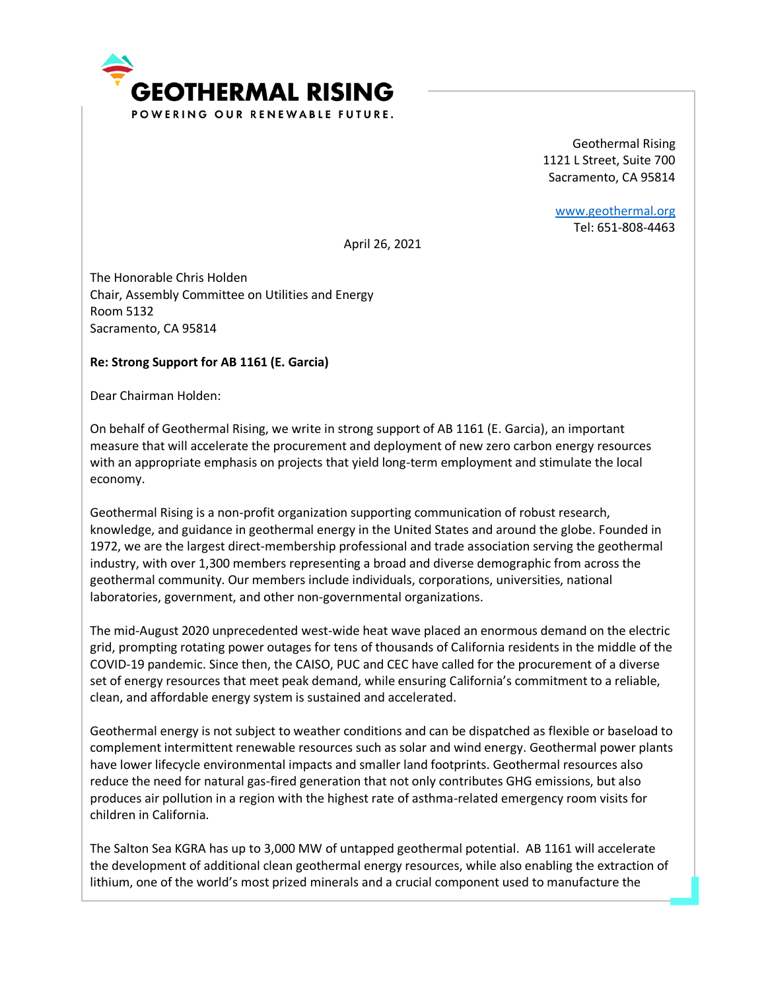

Geothermal Rising 1121 L Street, Suite 700 Sacramento, CA 95814

[www.geothermal.org](http://www.geothermal.org/) Tel: 651-808-4463

April 26, 2021

The Honorable Chris Holden Chair, Assembly Committee on Utilities and Energy Room 5132 Sacramento, CA 95814

## **Re: Strong Support for AB 1161 (E. Garcia)**

Dear Chairman Holden:

On behalf of Geothermal Rising, we write in strong support of AB 1161 (E. Garcia), an important measure that will accelerate the procurement and deployment of new zero carbon energy resources with an appropriate emphasis on projects that yield long-term employment and stimulate the local economy.

Geothermal Rising is a non-profit organization supporting communication of robust research, knowledge, and guidance in geothermal energy in the United States and around the globe. Founded in 1972, we are the largest direct-membership professional and trade association serving the geothermal industry, with over 1,300 members representing a broad and diverse demographic from across the geothermal community. Our members include individuals, corporations, universities, national laboratories, government, and other non-governmental organizations.

The mid-August 2020 unprecedented west-wide heat wave placed an enormous demand on the electric grid, prompting rotating power outages for tens of thousands of California residents in the middle of the COVID-19 pandemic. Since then, the CAISO, PUC and CEC have called for the procurement of a diverse set of energy resources that meet peak demand, while ensuring California's commitment to a reliable, clean, and affordable energy system is sustained and accelerated.

Geothermal energy is not subject to weather conditions and can be dispatched as flexible or baseload to complement intermittent renewable resources such as solar and wind energy. Geothermal power plants have lower lifecycle environmental impacts and smaller land footprints. Geothermal resources also reduce the need for natural gas-fired generation that not only contributes GHG emissions, but also produces air pollution in a region with the highest rate of asthma-related emergency room visits for children in California.

The Salton Sea KGRA has up to 3,000 MW of untapped geothermal potential. AB 1161 will accelerate the development of additional clean geothermal energy resources, while also enabling the extraction of lithium, one of the world's most prized minerals and a crucial component used to manufacture the